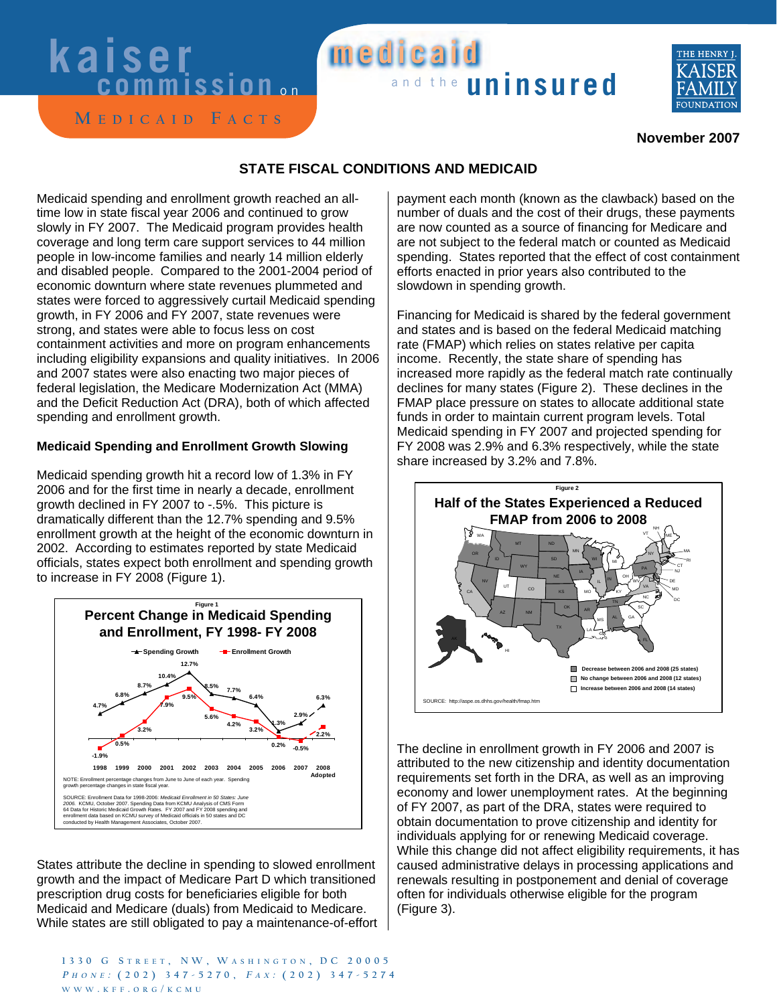# **Kaiser Wedicald** medicaid



 $M$  **E**  $D$  *l*  $C$   $A$  **l**  $D$  **F**  $A$   $C$  **T**  $S$ 

## **November 2007**

### **STATE FISCAL CONDITIONS AND MEDICAID**

Medicaid spending and enrollment growth reached an alltime low in state fiscal year 2006 and continued to grow slowly in FY 2007. The Medicaid program provides health coverage and long term care support services to 44 million people in low-income families and nearly 14 million elderly and disabled people. Compared to the 2001-2004 period of economic downturn where state revenues plummeted and states were forced to aggressively curtail Medicaid spending growth, in FY 2006 and FY 2007, state revenues were strong, and states were able to focus less on cost containment activities and more on program enhancements including eligibility expansions and quality initiatives. In 2006 and 2007 states were also enacting two major pieces of federal legislation, the Medicare Modernization Act (MMA) and the Deficit Reduction Act (DRA), both of which affected spending and enrollment growth.

### **Medicaid Spending and Enrollment Growth Slowing**

Medicaid spending growth hit a record low of 1.3% in FY 2006 and for the first time in nearly a decade, enrollment growth declined in FY 2007 to -.5%. This picture is dramatically different than the 12.7% spending and 9.5% enrollment growth at the height of the economic downturn in 2002. According to estimates reported by state Medicaid officials, states expect both enrollment and spending growth to increase in FY 2008 (Figure 1).



States attribute the decline in spending to slowed enrollment growth and the impact of Medicare Part D which transitioned prescription drug costs for beneficiaries eligible for both Medicaid and Medicare (duals) from Medicaid to Medicare. While states are still obligated to pay a maintenance-of-effort

1330 G STREET, NW, WASHINGTON, DC 20005  $P_H \text{ O } N_E$ : (202) 347-5270,  $FAX$ : (202) 347-5274  $W$  *W W w* **<b>***W W W W W W W W W W W W W W W W W W W W W W W W W W W W W W W W W W* 

payment each month (known as the clawback) based on the number of duals and the cost of their drugs, these payments are now counted as a source of financing for Medicare and are not subject to the federal match or counted as Medicaid spending. States reported that the effect of cost containment efforts enacted in prior years also contributed to the slowdown in spending growth.

Financing for Medicaid is shared by the federal government and states and is based on the federal Medicaid matching rate (FMAP) which relies on states relative per capita income. Recently, the state share of spending has increased more rapidly as the federal match rate continually declines for many states (Figure 2). These declines in the FMAP place pressure on states to allocate additional state funds in order to maintain current program levels. Total Medicaid spending in FY 2007 and projected spending for FY 2008 was 2.9% and 6.3% respectively, while the state share increased by 3.2% and 7.8%.



The decline in enrollment growth in FY 2006 and 2007 is attributed to the new citizenship and identity documentation requirements set forth in the DRA, as well as an improving economy and lower unemployment rates. At the beginning of FY 2007, as part of the DRA, states were required to obtain documentation to prove citizenship and identity for individuals applying for or renewing Medicaid coverage. While this change did not affect eligibility requirements, it has caused administrative delays in processing applications and renewals resulting in postponement and denial of coverage often for individuals otherwise eligible for the program (Figure 3).